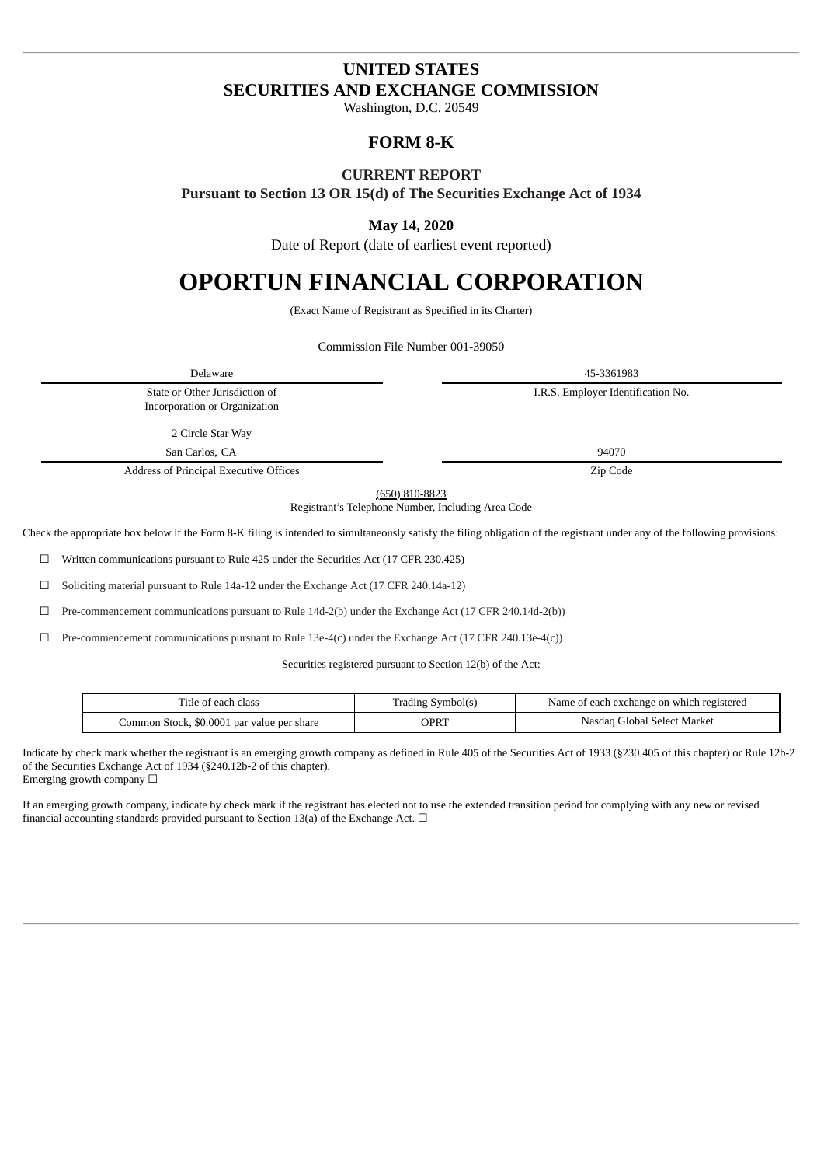## **UNITED STATES SECURITIES AND EXCHANGE COMMISSION**

Washington, D.C. 20549

### **FORM 8-K**

### **CURRENT REPORT**

**Pursuant to Section 13 OR 15(d) of The Securities Exchange Act of 1934**

### **May 14, 2020**

Date of Report (date of earliest event reported)

# **OPORTUN FINANCIAL CORPORATION**

(Exact Name of Registrant as Specified in its Charter)

Commission File Number 001-39050

| Delaware                                                                                                                                                                                                                                   | 45-3361983                         |  |  |  |  |  |  |  |
|--------------------------------------------------------------------------------------------------------------------------------------------------------------------------------------------------------------------------------------------|------------------------------------|--|--|--|--|--|--|--|
| State or Other Jurisdiction of<br>Incorporation or Organization                                                                                                                                                                            | I.R.S. Employer Identification No. |  |  |  |  |  |  |  |
| 2 Circle Star Way                                                                                                                                                                                                                          |                                    |  |  |  |  |  |  |  |
| San Carlos, CA                                                                                                                                                                                                                             | 94070                              |  |  |  |  |  |  |  |
| <b>Address of Principal Executive Offices</b>                                                                                                                                                                                              | Zip Code                           |  |  |  |  |  |  |  |
| $(650)$ 810-8823<br>Registrant's Telephone Number, Including Area Code<br>ppropriate box below if the Form 8-K filing is intended to simultaneously satisfy the filing obligation of the registrant under any of the following provisions: |                                    |  |  |  |  |  |  |  |

Securities registered pursuant to Section 12(b) of the Act:

| Fitle of each class                        | Trading Symbol(s) | Name of each exchange on which registered |
|--------------------------------------------|-------------------|-------------------------------------------|
| Common Stock, \$0.0001 par value per share | OPRT              | Nasdag Global Select Market               |

Indicate by check mark whether the registrant is an emerging growth company as defined in Rule 405 of the Securities Act of 1933 (§230.405 of this chapter) or Rule 12b-2 of the Securities Exchange Act of 1934 (§240.12b-2 of this chapter). Emerging growth company  $\Box$ 

If an emerging growth company, indicate by check mark if the registrant has elected not to use the extended transition period for complying with any new or revised financial accounting standards provided pursuant to Section 13(a) of the Exchange Act.  $\Box$ 

Check the appropriate box below if the Form 8-K filing is intended to simultaneously satisfy the filing obligation of the registrant under any of the following provisions:

☐ Written communications pursuant to Rule 425 under the Securities Act (17 CFR 230.425)

☐ Soliciting material pursuant to Rule 14a-12 under the Exchange Act (17 CFR 240.14a-12)

☐ Pre-commencement communications pursuant to Rule 14d-2(b) under the Exchange Act (17 CFR 240.14d-2(b))

☐ Pre-commencement communications pursuant to Rule 13e-4(c) under the Exchange Act (17 CFR 240.13e-4(c))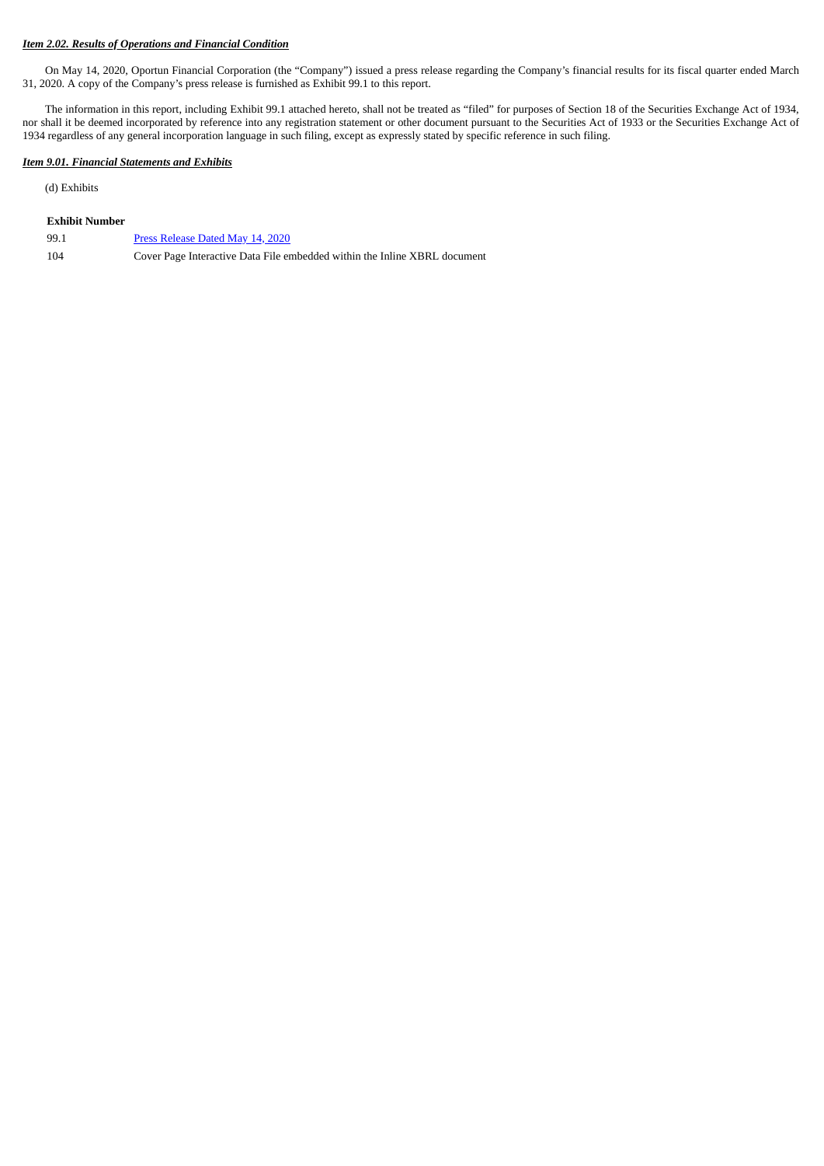#### *Item 2.02. Results of Operations and Financial Condition*

On May 14, 2020, Oportun Financial Corporation (the "Company") issued a press release regarding the Company's financial results for its fiscal quarter ended March 31, 2020. A copy of the Company's press release is furnished as Exhibit 99.1 to this report.

The information in this report, including Exhibit 99.1 attached hereto, shall not be treated as "filed" for purposes of Section 18 of the Securities Exchange Act of 1934, nor shall it be deemed incorporated by reference into any registration statement or other document pursuant to the Securities Act of 1933 or the Securities Exchange Act of 1934 regardless of any general incorporation language in such filing, except as expressly stated by specific reference in such filing.

#### *Item 9.01. Financial Statements and Exhibits*

(d) Exhibits

#### **Exhibit Number**

| 99.1 | Press Release Dated May 14, 2020                                          |
|------|---------------------------------------------------------------------------|
| 104  | Cover Page Interactive Data File embedded within the Inline XBRL document |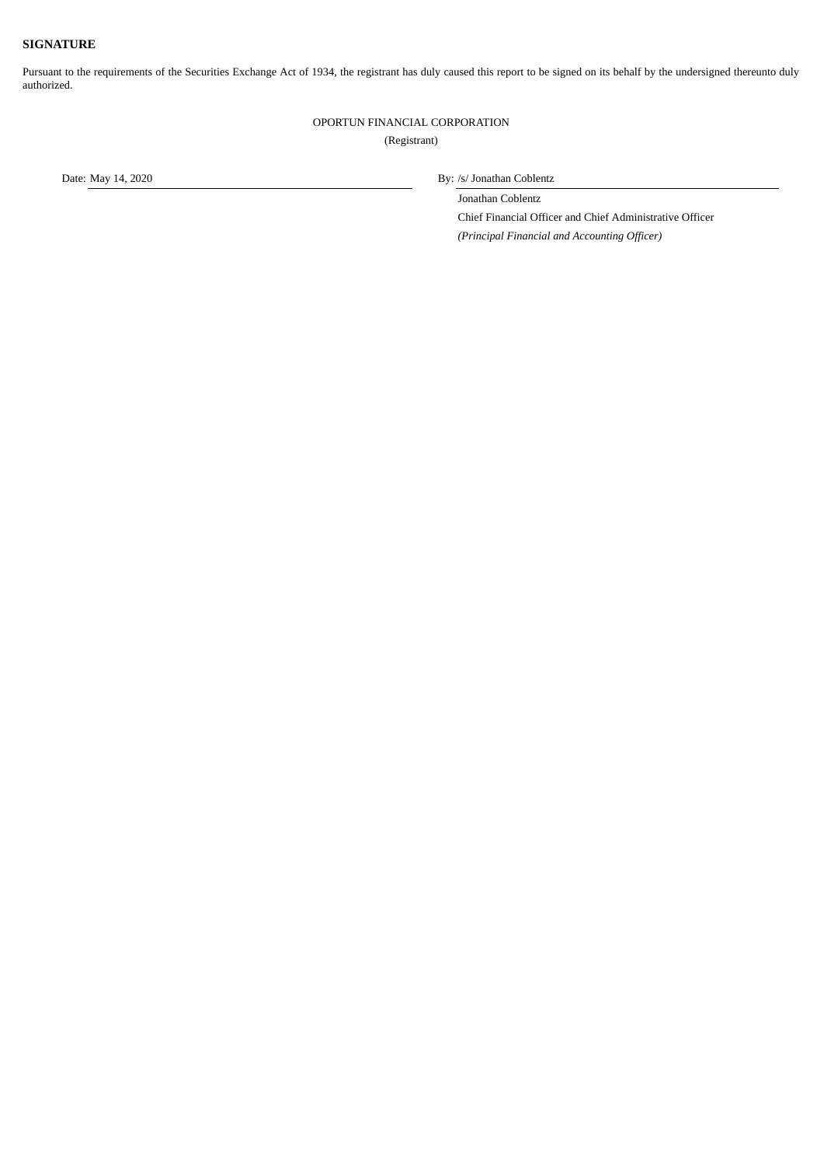### **SIGNATURE**

Pursuant to the requirements of the Securities Exchange Act of 1934, the registrant has duly caused this report to be signed on its behalf by the undersigned thereunto duly authorized.

### OPORTUN FINANCIAL CORPORATION (Registrant)

Date: May 14, 2020 By: /s/ Jonathan Coblentz

Jonathan Coblentz

Chief Financial Officer and Chief Administrative Officer *(Principal Financial and Accounting Officer)*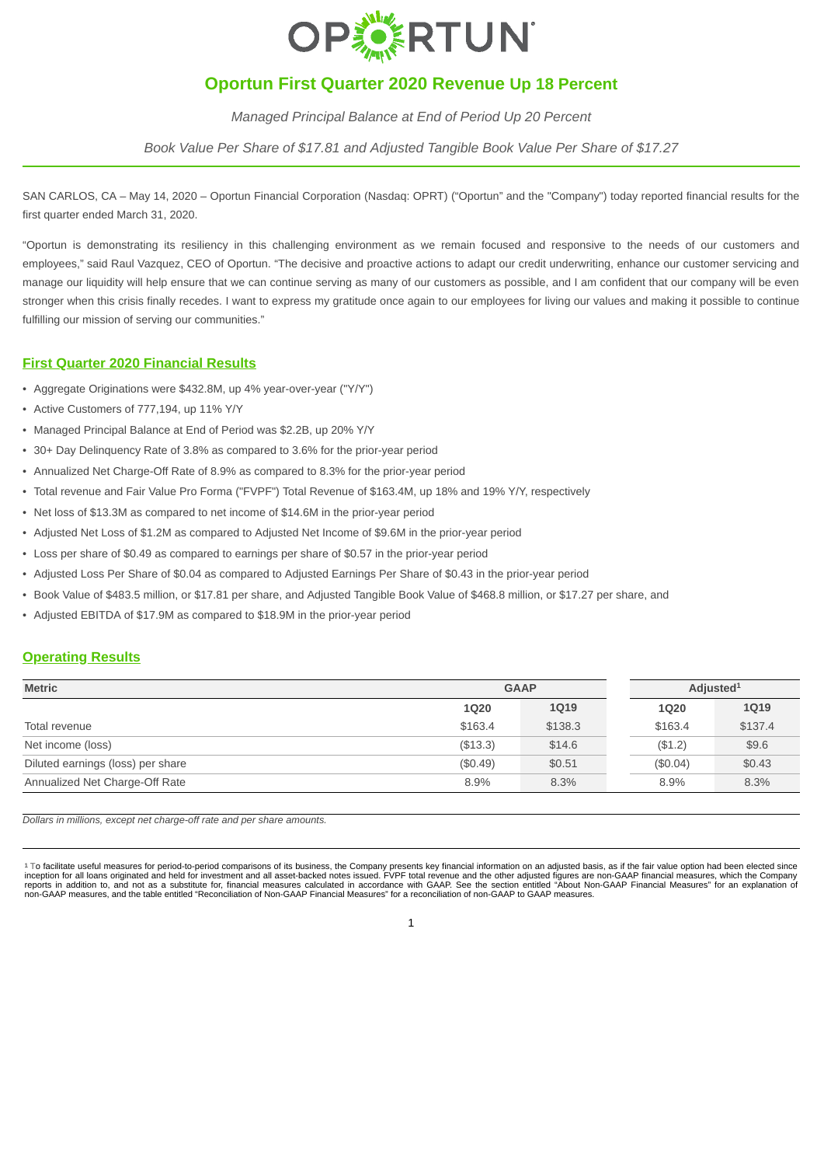

# **Oportun First Quarter 2020 Revenue Up 18 Percent**

*Managed Principal Balance at End of Period Up 20 Percent*

<span id="page-3-0"></span>*Book Value Per Share of \$17.81 and Adjusted Tangible Book Value Per Share of \$17.27*

SAN CARLOS, CA – May 14, 2020 – Oportun Financial Corporation (Nasdaq: OPRT) ("Oportun" and the "Company") today reported financial results for the first quarter ended March 31, 2020.

"Oportun is demonstrating its resiliency in this challenging environment as we remain focused and responsive to the needs of our customers and employees," said Raul Vazquez, CEO of Oportun. "The decisive and proactive actions to adapt our credit underwriting, enhance our customer servicing and manage our liquidity will help ensure that we can continue serving as many of our customers as possible, and I am confident that our company will be even stronger when this crisis finally recedes. I want to express my gratitude once again to our employees for living our values and making it possible to continue fulfilling our mission of serving our communities."

### **First Quarter 2020 Financial Results**

- Aggregate Originations were \$432.8M, up 4% year-over-year ("Y/Y")
- Active Customers of 777,194, up 11% Y/Y
- Managed Principal Balance at End of Period was \$2.2B, up 20% Y/Y
- 30+ Day Delinquency Rate of 3.8% as compared to 3.6% for the prior-year period
- Annualized Net Charge-Off Rate of 8.9% as compared to 8.3% for the prior-year period
- Total revenue and Fair Value Pro Forma ("FVPF") Total Revenue of \$163.4M, up 18% and 19% Y/Y, respectively
- Net loss of \$13.3M as compared to net income of \$14.6M in the prior-year period
- Adjusted Net Loss of \$1.2M as compared to Adjusted Net Income of \$9.6M in the prior-year period
- Loss per share of \$0.49 as compared to earnings per share of \$0.57 in the prior-year period
- Adjusted Loss Per Share of \$0.04 as compared to Adjusted Earnings Per Share of \$0.43 in the prior-year period
- Book Value of \$483.5 million, or \$17.81 per share, and Adjusted Tangible Book Value of \$468.8 million, or \$17.27 per share, and
- Adjusted EBITDA of \$17.9M as compared to \$18.9M in the prior-year period

### **Operating Results**

| <b>Metric</b>                     | <b>GAAP</b> |         |            | Adjusted <sup>1</sup> |
|-----------------------------------|-------------|---------|------------|-----------------------|
|                                   | 1Q20        | 1Q19    | 1020       | 1Q19                  |
| Total revenue                     | \$163.4     | \$138.3 | \$163.4    | \$137.4               |
| Net income (loss)                 | (\$13.3)    | \$14.6  | (\$1.2)    | \$9.6                 |
| Diluted earnings (loss) per share | (\$0.49)    | \$0.51  | $(\$0.04)$ | \$0.43                |
| Annualized Net Charge-Off Rate    | 8.9%        | 8.3%    | 8.9%       | 8.3%                  |

*Dollars in millions, except net charge-off rate and per share amounts.*

1 To facilitate useful measures for period-to-period comparisons of its business, the Company presents key financial information on an adjusted basis, as if the fair value option had been elected since<br>inception for all lo

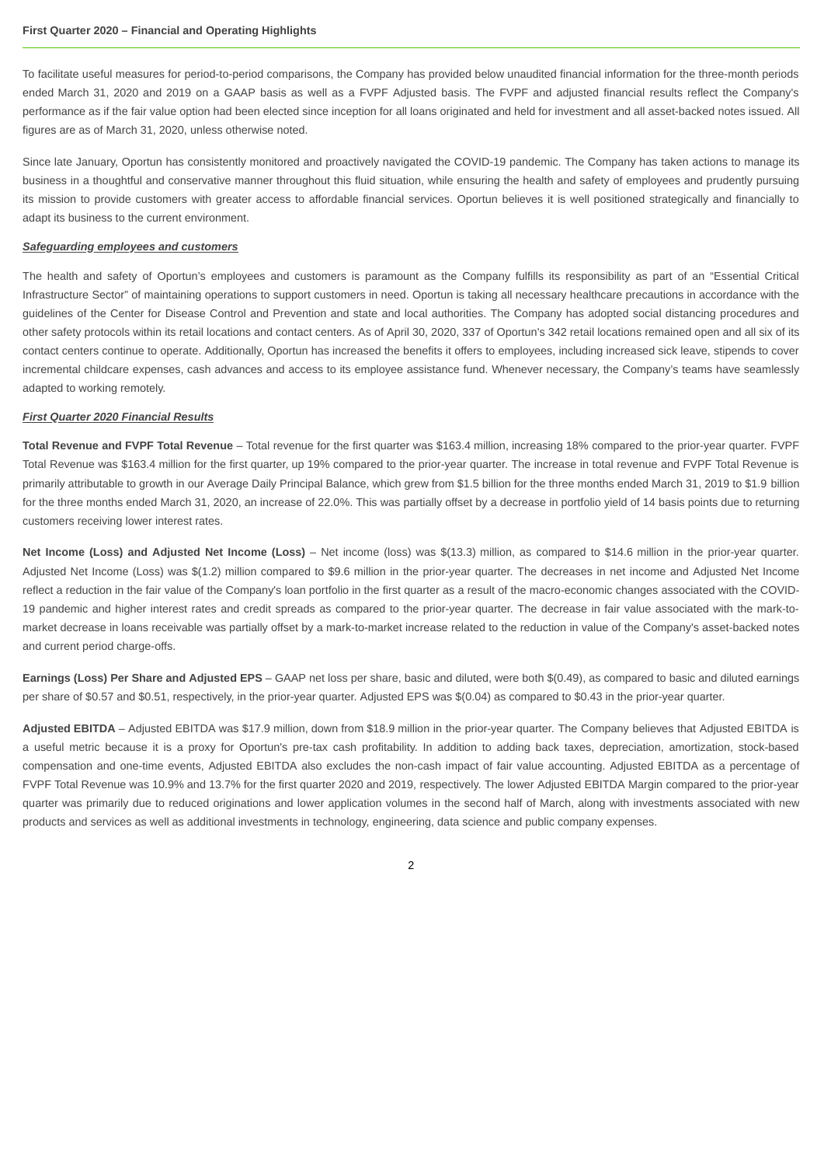To facilitate useful measures for period-to-period comparisons, the Company has provided below unaudited financial information for the three-month periods ended March 31, 2020 and 2019 on a GAAP basis as well as a FVPF Adjusted basis. The FVPF and adjusted financial results reflect the Company's performance as if the fair value option had been elected since inception for all loans originated and held for investment and all asset-backed notes issued. All figures are as of March 31, 2020, unless otherwise noted.

Since late January, Oportun has consistently monitored and proactively navigated the COVID-19 pandemic. The Company has taken actions to manage its business in a thoughtful and conservative manner throughout this fluid situation, while ensuring the health and safety of employees and prudently pursuing its mission to provide customers with greater access to affordable financial services. Oportun believes it is well positioned strategically and financially to adapt its business to the current environment.

#### *Safeguarding employees and customers*

The health and safety of Oportun's employees and customers is paramount as the Company fulfills its responsibility as part of an "Essential Critical Infrastructure Sector" of maintaining operations to support customers in need. Oportun is taking all necessary healthcare precautions in accordance with the guidelines of the Center for Disease Control and Prevention and state and local authorities. The Company has adopted social distancing procedures and other safety protocols within its retail locations and contact centers. As of April 30, 2020, 337 of Oportun's 342 retail locations remained open and all six of its contact centers continue to operate. Additionally, Oportun has increased the benefits it offers to employees, including increased sick leave, stipends to cover incremental childcare expenses, cash advances and access to its employee assistance fund. Whenever necessary, the Company's teams have seamlessly adapted to working remotely.

#### *First Quarter 2020 Financial Results*

**Total Revenue and FVPF Total Revenue** – Total revenue for the first quarter was \$163.4 million, increasing 18% compared to the prior-year quarter. FVPF Total Revenue was \$163.4 million for the first quarter, up 19% compared to the prior-year quarter. The increase in total revenue and FVPF Total Revenue is primarily attributable to growth in our Average Daily Principal Balance, which grew from \$1.5 billion for the three months ended March 31, 2019 to \$1.9 billion for the three months ended March 31, 2020, an increase of 22.0%. This was partially offset by a decrease in portfolio yield of 14 basis points due to returning customers receiving lower interest rates.

**Net Income (Loss) and Adjusted Net Income (Loss)** – Net income (loss) was \$(13.3) million, as compared to \$14.6 million in the prior-year quarter. Adjusted Net Income (Loss) was \$(1.2) million compared to \$9.6 million in the prior-year quarter. The decreases in net income and Adjusted Net Income reflect a reduction in the fair value of the Company's loan portfolio in the first quarter as a result of the macro-economic changes associated with the COVID-19 pandemic and higher interest rates and credit spreads as compared to the prior-year quarter. The decrease in fair value associated with the mark-tomarket decrease in loans receivable was partially offset by a mark-to-market increase related to the reduction in value of the Company's asset-backed notes and current period charge-offs.

**Earnings (Loss) Per Share and Adjusted EPS** – GAAP net loss per share, basic and diluted, were both \$(0.49), as compared to basic and diluted earnings per share of \$0.57 and \$0.51, respectively, in the prior-year quarter. Adjusted EPS was \$(0.04) as compared to \$0.43 in the prior-year quarter.

**Adjusted EBITDA** – Adjusted EBITDA was \$17.9 million, down from \$18.9 million in the prior-year quarter. The Company believes that Adjusted EBITDA is a useful metric because it is a proxy for Oportun's pre-tax cash profitability. In addition to adding back taxes, depreciation, amortization, stock-based compensation and one-time events, Adjusted EBITDA also excludes the non-cash impact of fair value accounting. Adjusted EBITDA as a percentage of FVPF Total Revenue was 10.9% and 13.7% for the first quarter 2020 and 2019, respectively. The lower Adjusted EBITDA Margin compared to the prior-year quarter was primarily due to reduced originations and lower application volumes in the second half of March, along with investments associated with new products and services as well as additional investments in technology, engineering, data science and public company expenses.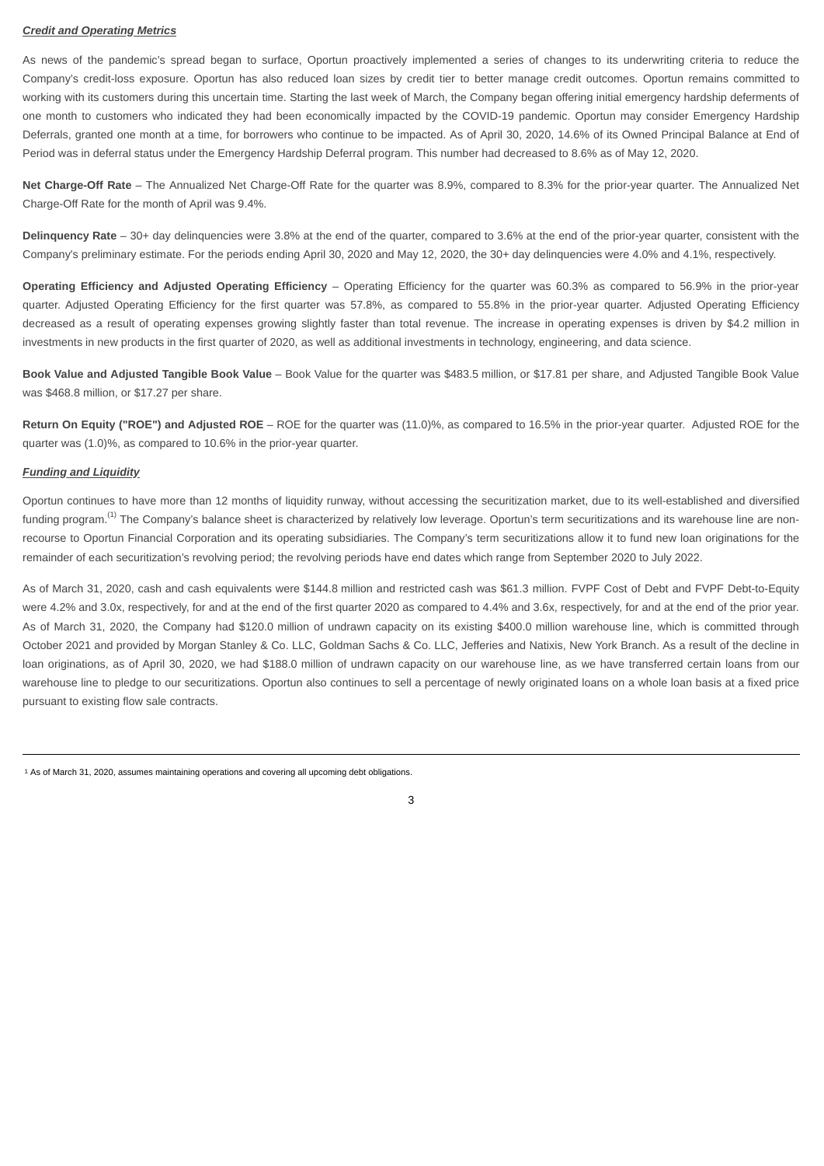#### *Credit and Operating Metrics*

As news of the pandemic's spread began to surface, Oportun proactively implemented a series of changes to its underwriting criteria to reduce the Company's credit-loss exposure. Oportun has also reduced loan sizes by credit tier to better manage credit outcomes. Oportun remains committed to working with its customers during this uncertain time. Starting the last week of March, the Company began offering initial emergency hardship deferments of one month to customers who indicated they had been economically impacted by the COVID-19 pandemic. Oportun may consider Emergency Hardship Deferrals, granted one month at a time, for borrowers who continue to be impacted. As of April 30, 2020, 14.6% of its Owned Principal Balance at End of Period was in deferral status under the Emergency Hardship Deferral program. This number had decreased to 8.6% as of May 12, 2020.

**Net Charge-Off Rate** – The Annualized Net Charge-Off Rate for the quarter was 8.9%, compared to 8.3% for the prior-year quarter. The Annualized Net Charge-Off Rate for the month of April was 9.4%.

**Delinquency Rate** – 30+ day delinquencies were 3.8% at the end of the quarter, compared to 3.6% at the end of the prior-year quarter, consistent with the Company's preliminary estimate. For the periods ending April 30, 2020 and May 12, 2020, the 30+ day delinquencies were 4.0% and 4.1%, respectively.

**Operating Efficiency and Adjusted Operating Efficiency** – Operating Efficiency for the quarter was 60.3% as compared to 56.9% in the prior-year quarter. Adjusted Operating Efficiency for the first quarter was 57.8%, as compared to 55.8% in the prior-year quarter. Adjusted Operating Efficiency decreased as a result of operating expenses growing slightly faster than total revenue. The increase in operating expenses is driven by \$4.2 million in investments in new products in the first quarter of 2020, as well as additional investments in technology, engineering, and data science.

**Book Value and Adjusted Tangible Book Value** – Book Value for the quarter was \$483.5 million, or \$17.81 per share, and Adjusted Tangible Book Value was \$468.8 million, or \$17.27 per share.

**Return On Equity ("ROE") and Adjusted ROE** – ROE for the quarter was (11.0)%, as compared to 16.5% in the prior-year quarter. Adjusted ROE for the quarter was (1.0)%, as compared to 10.6% in the prior-year quarter.

#### *Funding and Liquidity*

Oportun continues to have more than 12 months of liquidity runway, without accessing the securitization market, due to its well-established and diversified funding program.<sup>(1)</sup> The Company's balance sheet is characterized by relatively low leverage. Oportun's term securitizations and its warehouse line are nonrecourse to Oportun Financial Corporation and its operating subsidiaries. The Company's term securitizations allow it to fund new loan originations for the remainder of each securitization's revolving period; the revolving periods have end dates which range from September 2020 to July 2022.

As of March 31, 2020, cash and cash equivalents were \$144.8 million and restricted cash was \$61.3 million. FVPF Cost of Debt and FVPF Debt-to-Equity were 4.2% and 3.0x, respectively, for and at the end of the first quarter 2020 as compared to 4.4% and 3.6x, respectively, for and at the end of the prior year. As of March 31, 2020, the Company had \$120.0 million of undrawn capacity on its existing \$400.0 million warehouse line, which is committed through October 2021 and provided by Morgan Stanley & Co. LLC, Goldman Sachs & Co. LLC, Jefferies and Natixis, New York Branch. As a result of the decline in loan originations, as of April 30, 2020, we had \$188.0 million of undrawn capacity on our warehouse line, as we have transferred certain loans from our warehouse line to pledge to our securitizations. Oportun also continues to sell a percentage of newly originated loans on a whole loan basis at a fixed price pursuant to existing flow sale contracts.

**<sup>1</sup>** As of March 31, 2020, assumes maintaining operations and covering all upcoming debt obligations.

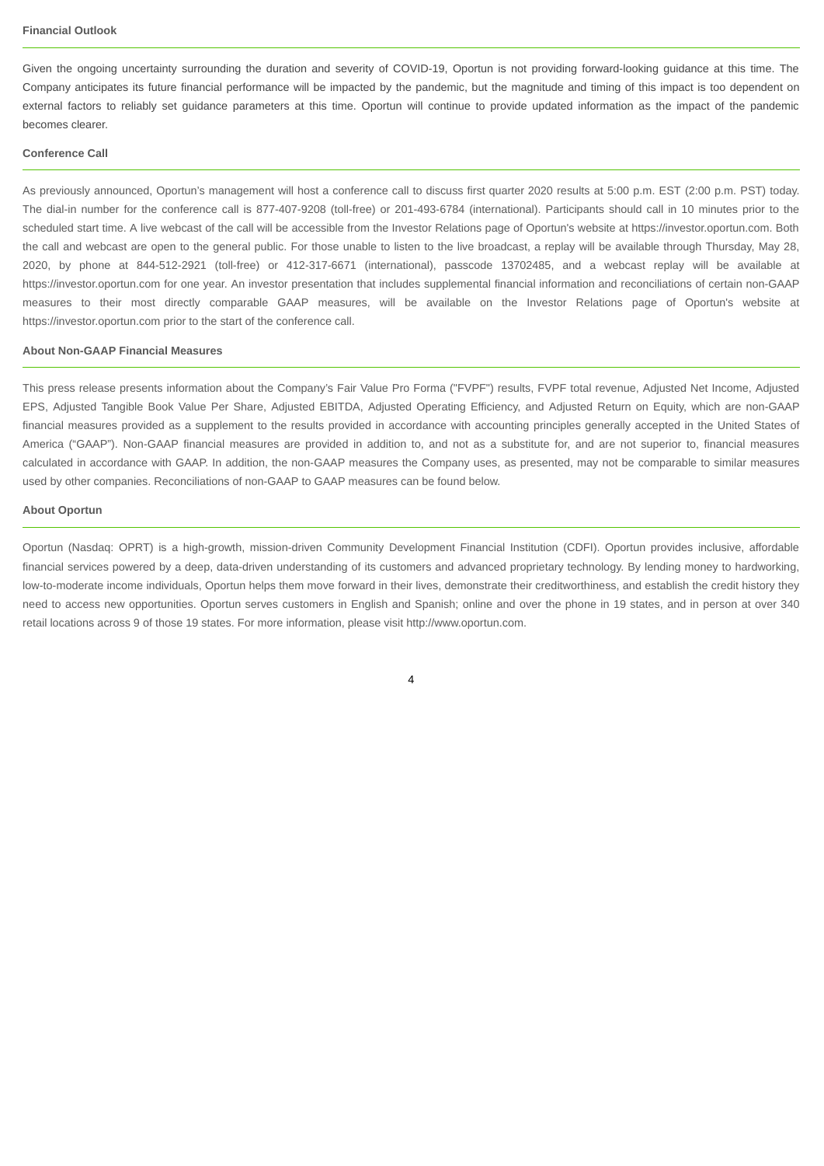Given the ongoing uncertainty surrounding the duration and severity of COVID-19, Oportun is not providing forward-looking guidance at this time. The Company anticipates its future financial performance will be impacted by the pandemic, but the magnitude and timing of this impact is too dependent on external factors to reliably set guidance parameters at this time. Oportun will continue to provide updated information as the impact of the pandemic becomes clearer.

#### **Conference Call**

As previously announced, Oportun's management will host a conference call to discuss first quarter 2020 results at 5:00 p.m. EST (2:00 p.m. PST) today. The dial-in number for the conference call is 877-407-9208 (toll-free) or 201-493-6784 (international). Participants should call in 10 minutes prior to the scheduled start time. A live webcast of the call will be accessible from the Investor Relations page of Oportun's website at https://investor.oportun.com. Both the call and webcast are open to the general public. For those unable to listen to the live broadcast, a replay will be available through Thursday, May 28, 2020, by phone at 844-512-2921 (toll-free) or 412-317-6671 (international), passcode 13702485, and a webcast replay will be available at https://investor.oportun.com for one year. An investor presentation that includes supplemental financial information and reconciliations of certain non-GAAP measures to their most directly comparable GAAP measures, will be available on the Investor Relations page of Oportun's website at https://investor.oportun.com prior to the start of the conference call.

#### **About Non-GAAP Financial Measures**

This press release presents information about the Company's Fair Value Pro Forma ("FVPF") results, FVPF total revenue, Adjusted Net Income, Adjusted EPS, Adjusted Tangible Book Value Per Share, Adjusted EBITDA, Adjusted Operating Efficiency, and Adjusted Return on Equity, which are non-GAAP financial measures provided as a supplement to the results provided in accordance with accounting principles generally accepted in the United States of America ("GAAP"). Non-GAAP financial measures are provided in addition to, and not as a substitute for, and are not superior to, financial measures calculated in accordance with GAAP. In addition, the non-GAAP measures the Company uses, as presented, may not be comparable to similar measures used by other companies. Reconciliations of non-GAAP to GAAP measures can be found below.

#### **About Oportun**

Oportun (Nasdaq: OPRT) is a high-growth, mission-driven Community Development Financial Institution (CDFI). Oportun provides inclusive, affordable financial services powered by a deep, data-driven understanding of its customers and advanced proprietary technology. By lending money to hardworking, low-to-moderate income individuals, Oportun helps them move forward in their lives, demonstrate their creditworthiness, and establish the credit history they need to access new opportunities. Oportun serves customers in English and Spanish; online and over the phone in 19 states, and in person at over 340 retail locations across 9 of those 19 states. For more information, please visit http://www.oportun.com.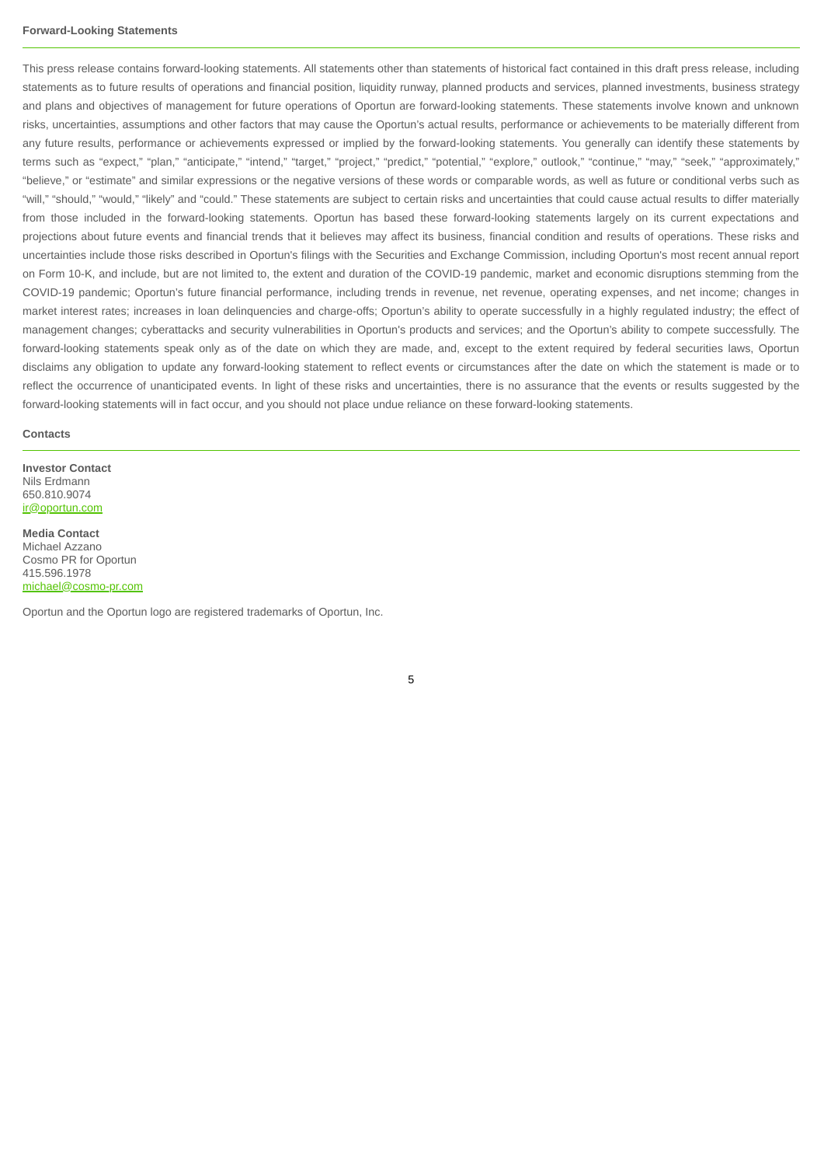#### **Forward-Looking Statements**

This press release contains forward-looking statements. All statements other than statements of historical fact contained in this draft press release, including statements as to future results of operations and financial position, liquidity runway, planned products and services, planned investments, business strategy and plans and objectives of management for future operations of Oportun are forward-looking statements. These statements involve known and unknown risks, uncertainties, assumptions and other factors that may cause the Oportun's actual results, performance or achievements to be materially different from any future results, performance or achievements expressed or implied by the forward-looking statements. You generally can identify these statements by terms such as "expect," "plan," "anticipate," "intend," "target," "project," "predict," "potential," "explore," outlook," "continue," "may," "seek," "approximately," "believe," or "estimate" and similar expressions or the negative versions of these words or comparable words, as well as future or conditional verbs such as "will," "should," "would," "likely" and "could." These statements are subject to certain risks and uncertainties that could cause actual results to differ materially from those included in the forward-looking statements. Oportun has based these forward-looking statements largely on its current expectations and projections about future events and financial trends that it believes may affect its business, financial condition and results of operations. These risks and uncertainties include those risks described in Oportun's filings with the Securities and Exchange Commission, including Oportun's most recent annual report on Form 10-K, and include, but are not limited to, the extent and duration of the COVID-19 pandemic, market and economic disruptions stemming from the COVID-19 pandemic; Oportun's future financial performance, including trends in revenue, net revenue, operating expenses, and net income; changes in market interest rates; increases in loan delinquencies and charge-offs; Oportun's ability to operate successfully in a highly regulated industry; the effect of management changes; cyberattacks and security vulnerabilities in Oportun's products and services; and the Oportun's ability to compete successfully. The forward-looking statements speak only as of the date on which they are made, and, except to the extent required by federal securities laws, Oportun disclaims any obligation to update any forward-looking statement to reflect events or circumstances after the date on which the statement is made or to reflect the occurrence of unanticipated events. In light of these risks and uncertainties, there is no assurance that the events or results suggested by the forward-looking statements will in fact occur, and you should not place undue reliance on these forward-looking statements.

#### **Contacts**

**Investor Contact** Nils Erdmann 650.810.9074 ir@oportun.com

**Media Contact** Michael Azzano Cosmo PR for Oportun 415.596.1978 michael@cosmo-pr.com

Oportun and the Oportun logo are registered trademarks of Oportun, Inc.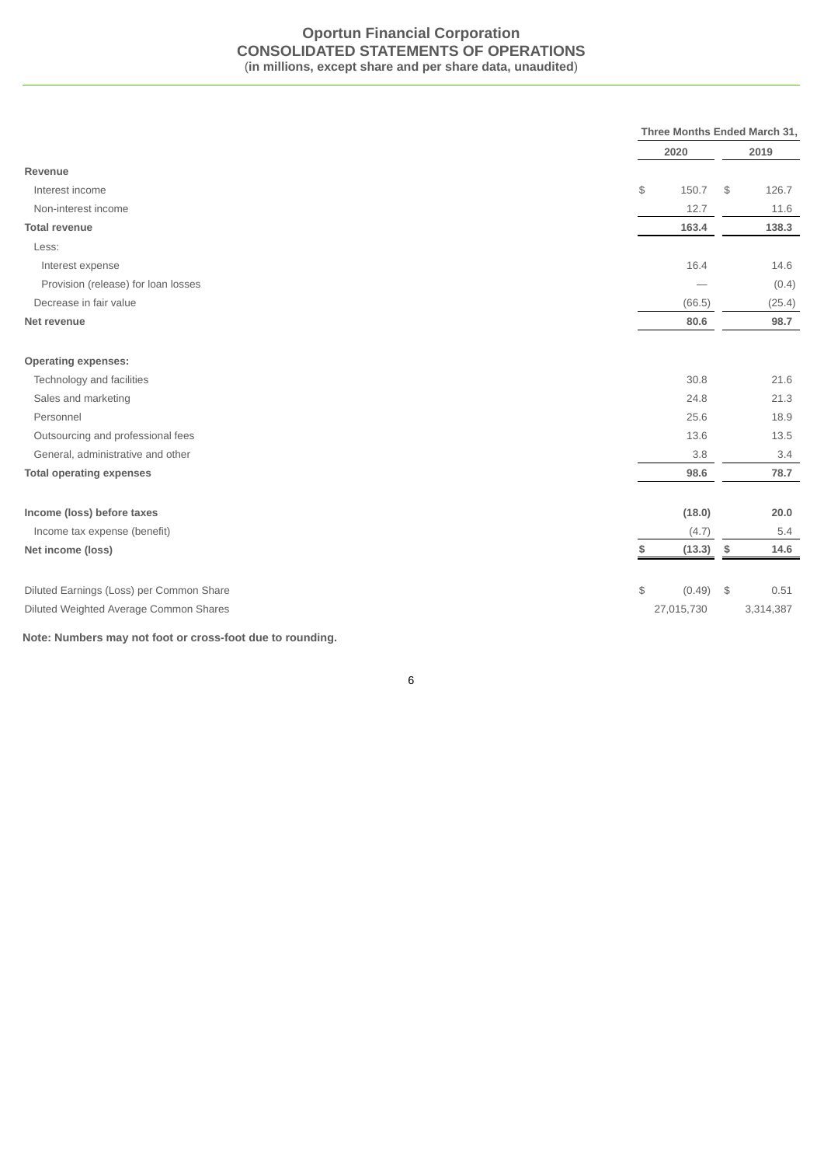### **Oportun Financial Corporation CONSOLIDATED STATEMENTS OF OPERATIONS** (**in millions, except share and per share data, unaudited**)

|                                          |                          | Three Months Ended March 31, |  |  |
|------------------------------------------|--------------------------|------------------------------|--|--|
|                                          | 2020                     | 2019                         |  |  |
| Revenue                                  |                          |                              |  |  |
| Interest income                          | $\mathfrak{P}$<br>150.7  | $\mathfrak{P}$<br>126.7      |  |  |
| Non-interest income                      | 12.7                     | 11.6                         |  |  |
| <b>Total revenue</b>                     | 163.4                    | 138.3                        |  |  |
| Less:                                    |                          |                              |  |  |
| Interest expense                         | 16.4                     | 14.6                         |  |  |
| Provision (release) for loan losses      |                          | (0.4)                        |  |  |
| Decrease in fair value                   | (66.5)                   | (25.4)                       |  |  |
| Net revenue                              | 80.6                     | 98.7                         |  |  |
|                                          |                          |                              |  |  |
| <b>Operating expenses:</b>               |                          |                              |  |  |
| Technology and facilities                | 30.8                     | 21.6                         |  |  |
| Sales and marketing                      | 24.8                     | 21.3                         |  |  |
| Personnel                                | 25.6                     | 18.9                         |  |  |
| Outsourcing and professional fees        | 13.6                     | 13.5                         |  |  |
| General, administrative and other        | 3.8                      | 3.4                          |  |  |
| <b>Total operating expenses</b>          | 98.6                     | 78.7                         |  |  |
|                                          |                          |                              |  |  |
| Income (loss) before taxes               | (18.0)                   | 20.0                         |  |  |
| Income tax expense (benefit)             | (4.7)                    | 5.4                          |  |  |
| Net income (loss)                        | \$<br>(13.3)             | 14.6<br>-\$                  |  |  |
|                                          |                          |                              |  |  |
| Diluted Earnings (Loss) per Common Share | $\mathfrak{P}$<br>(0.49) | $\sqrt{5}$<br>0.51           |  |  |
| Diluted Weighted Average Common Shares   | 27,015,730               | 3,314,387                    |  |  |
|                                          |                          |                              |  |  |

**Note: Numbers may not foot or cross-foot due to rounding.**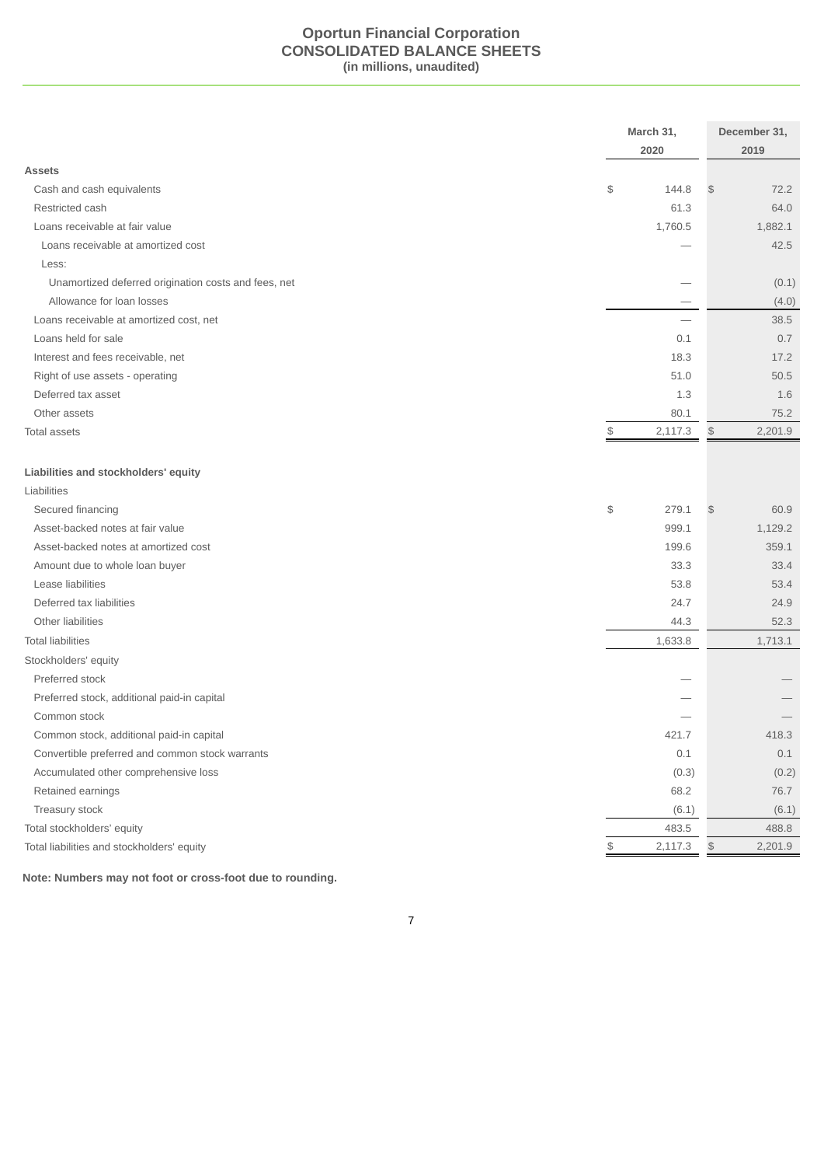### **Oportun Financial Corporation CONSOLIDATED BALANCE SHEETS (in millions, unaudited)**

|                                                      | March 31,<br>2020      |                          |
|------------------------------------------------------|------------------------|--------------------------|
| Assets                                               |                        |                          |
| Cash and cash equivalents                            | $\frac{1}{2}$<br>144.8 | $\frac{1}{2}$<br>72.2    |
| Restricted cash                                      | 61.3                   | 64.0                     |
| Loans receivable at fair value                       | 1,760.5                | 1,882.1                  |
| Loans receivable at amortized cost                   |                        | 42.5                     |
| Less:                                                |                        |                          |
| Unamortized deferred origination costs and fees, net |                        | (0.1)                    |
| Allowance for loan losses                            |                        | (4.0)                    |
| Loans receivable at amortized cost, net              |                        | 38.5                     |
| Loans held for sale                                  | 0.1                    | 0.7                      |
| Interest and fees receivable, net                    | 18.3                   | 17.2                     |
| Right of use assets - operating                      | 51.0                   | 50.5                     |
| Deferred tax asset                                   | 1.3                    | 1.6                      |
| Other assets                                         | 80.1                   | 75.2                     |
| <b>Total assets</b>                                  | \$<br>2,117.3          | 2,201.9<br>$\frac{1}{2}$ |
| Liabilities and stockholders' equity<br>Liabilities  |                        |                          |
| Secured financing                                    | \$<br>279.1            | 60.9<br>$\mathbb S$      |
| Asset-backed notes at fair value                     | 999.1                  | 1,129.2                  |
| Asset-backed notes at amortized cost                 | 199.6                  | 359.1                    |
| Amount due to whole loan buyer                       | 33.3                   | 33.4                     |
| Lease liabilities                                    | 53.8                   | 53.4                     |
| Deferred tax liabilities                             | 24.7                   | 24.9                     |
| Other liabilities                                    | 44.3                   | 52.3                     |
| <b>Total liabilities</b>                             | 1,633.8                | 1,713.1                  |
| Stockholders' equity                                 |                        |                          |
| Preferred stock                                      |                        |                          |
| Preferred stock, additional paid-in capital          |                        |                          |
| Common stock                                         |                        |                          |
| Common stock, additional paid-in capital             | 421.7                  | 418.3                    |
| Convertible preferred and common stock warrants      | $0.1$                  | 0.1                      |
| Accumulated other comprehensive loss                 | (0.3)                  | (0.2)                    |
| Retained earnings                                    | 68.2                   | 76.7                     |
| Treasury stock                                       | (6.1)                  | (6.1)                    |
| Total stockholders' equity                           | 483.5                  | 488.8                    |
| Total liabilities and stockholders' equity           | \$<br>2,117.3          | $\spadesuit$<br>2,201.9  |

**Note: Numbers may not foot or cross-foot due to rounding.**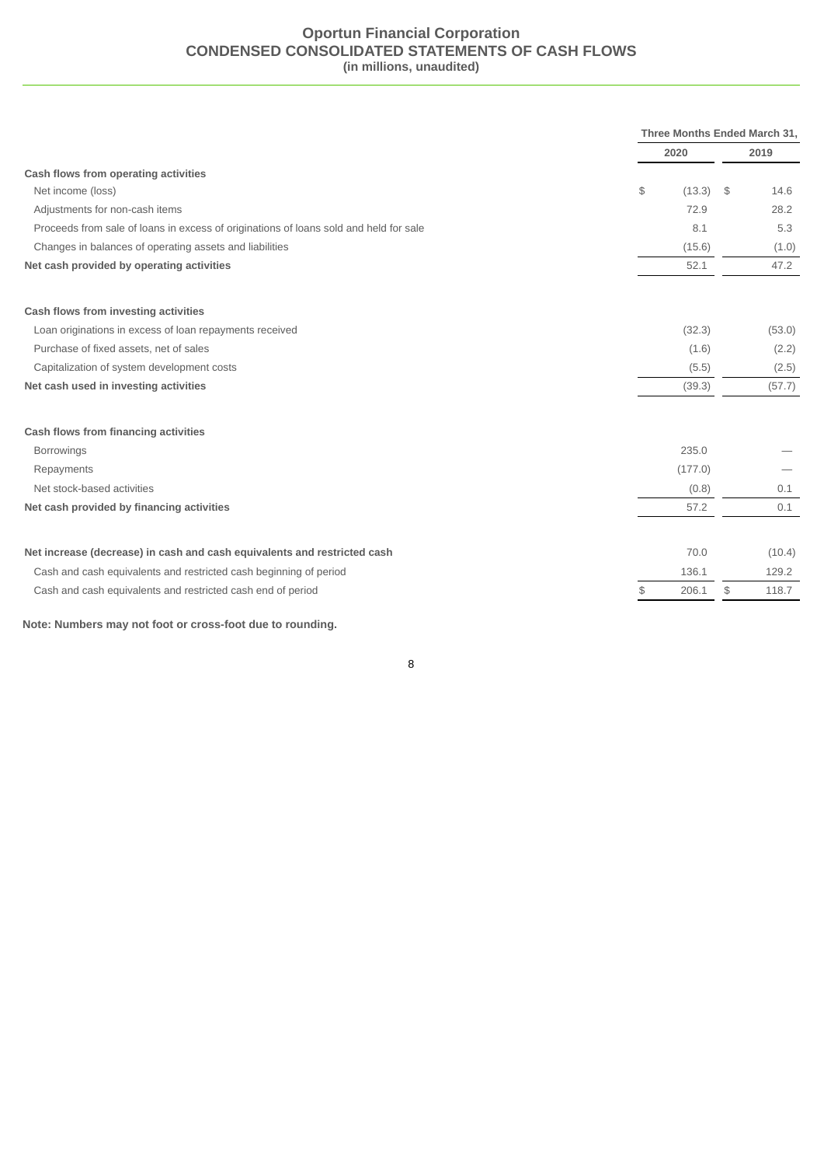### **Oportun Financial Corporation CONDENSED CONSOLIDATED STATEMENTS OF CASH FLOWS (in millions, unaudited)**

|                                                                                       |              | Three Months Ended March 31, |
|---------------------------------------------------------------------------------------|--------------|------------------------------|
|                                                                                       | 2020         | 2019                         |
| Cash flows from operating activities                                                  |              |                              |
| Net income (loss)                                                                     | \$<br>(13.3) | 14.6<br>\$                   |
| Adjustments for non-cash items                                                        | 72.9         | 28.2                         |
| Proceeds from sale of loans in excess of originations of loans sold and held for sale | 8.1          | 5.3                          |
| Changes in balances of operating assets and liabilities                               | (15.6)       | (1.0)                        |
| Net cash provided by operating activities                                             | 52.1         | 47.2                         |
| Cash flows from investing activities                                                  |              |                              |
| Loan originations in excess of loan repayments received                               | (32.3)       | (53.0)                       |
| Purchase of fixed assets, net of sales                                                | (1.6)        | (2.2)                        |
| Capitalization of system development costs                                            | (5.5)        | (2.5)                        |
| Net cash used in investing activities                                                 | (39.3)       | (57.7)                       |
| Cash flows from financing activities                                                  |              |                              |
| <b>Borrowings</b>                                                                     | 235.0        |                              |
| Repayments                                                                            | (177.0)      |                              |
| Net stock-based activities                                                            | (0.8)        | 0.1                          |
| Net cash provided by financing activities                                             | 57.2         | 0.1                          |
| Net increase (decrease) in cash and cash equivalents and restricted cash              | 70.0         | (10.4)                       |
| Cash and cash equivalents and restricted cash beginning of period                     | 136.1        | 129.2                        |
| Cash and cash equivalents and restricted cash end of period                           | 206.1<br>\$  | $$\mathbb{S}$$<br>118.7      |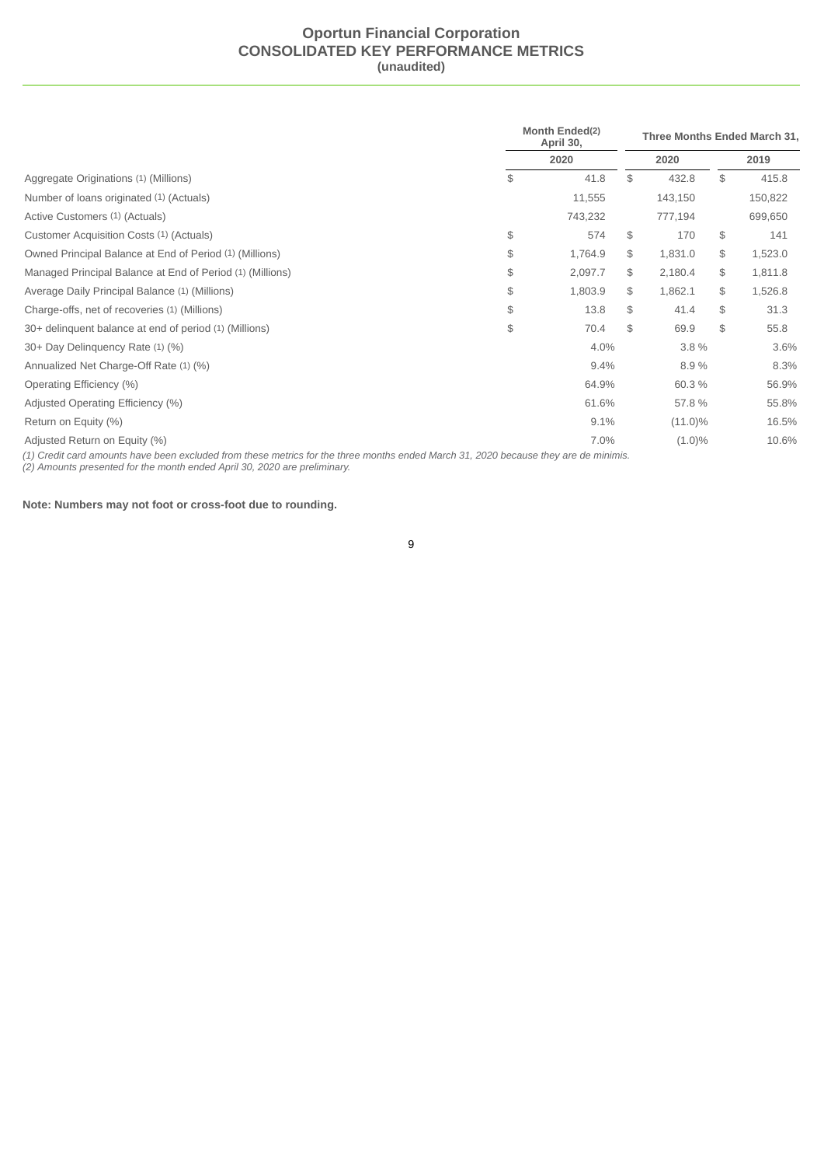### **Oportun Financial Corporation CONSOLIDATED KEY PERFORMANCE METRICS (unaudited)**

|                                                           | Month Ended(2)<br>April 30, |    |            | Three Months Ended March 31, |         |  |  |
|-----------------------------------------------------------|-----------------------------|----|------------|------------------------------|---------|--|--|
|                                                           | 2020                        |    | 2020       |                              | 2019    |  |  |
| Aggregate Originations (1) (Millions)                     | \$<br>41.8                  | \$ | 432.8      | \$                           | 415.8   |  |  |
| Number of loans originated (1) (Actuals)                  | 11,555                      |    | 143,150    |                              | 150,822 |  |  |
| Active Customers (1) (Actuals)                            | 743,232                     |    | 777,194    |                              | 699,650 |  |  |
| Customer Acquisition Costs (1) (Actuals)                  | \$<br>574                   | \$ | 170        | \$                           | 141     |  |  |
| Owned Principal Balance at End of Period (1) (Millions)   | \$<br>1,764.9               | \$ | 1,831.0    | \$                           | 1,523.0 |  |  |
| Managed Principal Balance at End of Period (1) (Millions) | \$<br>2,097.7               | \$ | 2,180.4    | \$                           | 1,811.8 |  |  |
| Average Daily Principal Balance (1) (Millions)            | \$<br>1,803.9               | \$ | 1,862.1    | \$                           | 1,526.8 |  |  |
| Charge-offs, net of recoveries (1) (Millions)             | \$<br>13.8                  | \$ | 41.4       | \$                           | 31.3    |  |  |
| 30+ delinguent balance at end of period (1) (Millions)    | \$<br>70.4                  | \$ | 69.9       | \$                           | 55.8    |  |  |
| 30+ Day Delinquency Rate (1) (%)                          | 4.0%                        |    | 3.8 %      |                              | 3.6%    |  |  |
| Annualized Net Charge-Off Rate (1) (%)                    | 9.4%                        |    | 8.9%       |                              | 8.3%    |  |  |
| Operating Efficiency (%)                                  | 64.9%                       |    | 60.3 %     |                              | 56.9%   |  |  |
| Adjusted Operating Efficiency (%)                         | 61.6%                       |    | 57.8 %     |                              | 55.8%   |  |  |
| Return on Equity (%)                                      | 9.1%                        |    | $(11.0)\%$ |                              | 16.5%   |  |  |
| Adjusted Return on Equity (%)                             | 7.0%                        |    | $(1.0)\%$  |                              | 10.6%   |  |  |
|                                                           |                             |    |            |                              |         |  |  |

(1) Credit card amounts have been excluded from these metrics for the three months ended March 31, 2020 because they are de minimis. *(2) Amounts presented for the month ended April 30, 2020 are preliminary.*

**Note: Numbers may not foot or cross-foot due to rounding.**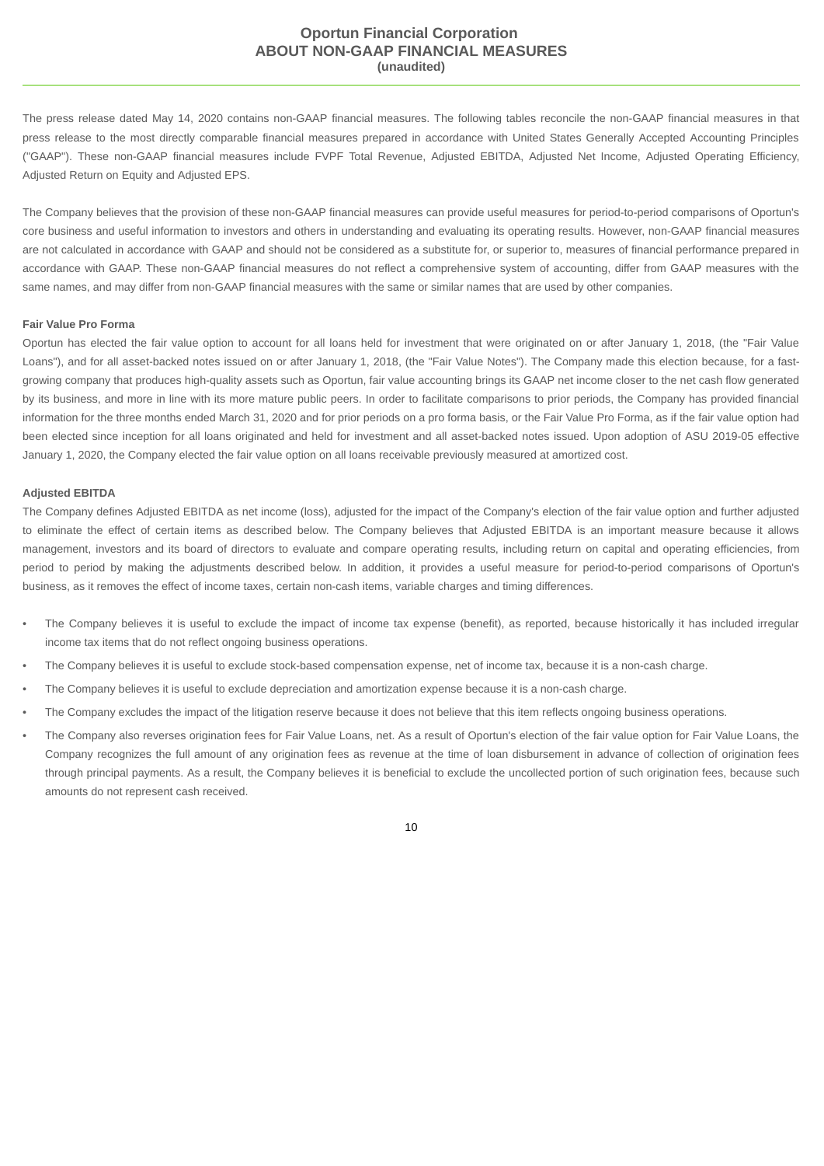### **Oportun Financial Corporation ABOUT NON-GAAP FINANCIAL MEASURES (unaudited)**

The press release dated May 14, 2020 contains non-GAAP financial measures. The following tables reconcile the non-GAAP financial measures in that press release to the most directly comparable financial measures prepared in accordance with United States Generally Accepted Accounting Principles ("GAAP"). These non-GAAP financial measures include FVPF Total Revenue, Adjusted EBITDA, Adjusted Net Income, Adjusted Operating Efficiency, Adjusted Return on Equity and Adjusted EPS.

The Company believes that the provision of these non-GAAP financial measures can provide useful measures for period-to-period comparisons of Oportun's core business and useful information to investors and others in understanding and evaluating its operating results. However, non-GAAP financial measures are not calculated in accordance with GAAP and should not be considered as a substitute for, or superior to, measures of financial performance prepared in accordance with GAAP. These non-GAAP financial measures do not reflect a comprehensive system of accounting, differ from GAAP measures with the same names, and may differ from non-GAAP financial measures with the same or similar names that are used by other companies.

#### **Fair Value Pro Forma**

Oportun has elected the fair value option to account for all loans held for investment that were originated on or after January 1, 2018, (the "Fair Value Loans"), and for all asset-backed notes issued on or after January 1, 2018, (the "Fair Value Notes"). The Company made this election because, for a fastgrowing company that produces high-quality assets such as Oportun, fair value accounting brings its GAAP net income closer to the net cash flow generated by its business, and more in line with its more mature public peers. In order to facilitate comparisons to prior periods, the Company has provided financial information for the three months ended March 31, 2020 and for prior periods on a pro forma basis, or the Fair Value Pro Forma, as if the fair value option had been elected since inception for all loans originated and held for investment and all asset-backed notes issued. Upon adoption of ASU 2019-05 effective January 1, 2020, the Company elected the fair value option on all loans receivable previously measured at amortized cost.

#### **Adjusted EBITDA**

The Company defines Adjusted EBITDA as net income (loss), adjusted for the impact of the Company's election of the fair value option and further adjusted to eliminate the effect of certain items as described below. The Company believes that Adjusted EBITDA is an important measure because it allows management, investors and its board of directors to evaluate and compare operating results, including return on capital and operating efficiencies, from period to period by making the adjustments described below. In addition, it provides a useful measure for period-to-period comparisons of Oportun's business, as it removes the effect of income taxes, certain non-cash items, variable charges and timing differences.

- The Company believes it is useful to exclude the impact of income tax expense (benefit), as reported, because historically it has included irregular income tax items that do not reflect ongoing business operations.
- The Company believes it is useful to exclude stock-based compensation expense, net of income tax, because it is a non-cash charge.
- The Company believes it is useful to exclude depreciation and amortization expense because it is a non-cash charge.
- The Company excludes the impact of the litigation reserve because it does not believe that this item reflects ongoing business operations.
- The Company also reverses origination fees for Fair Value Loans, net. As a result of Oportun's election of the fair value option for Fair Value Loans, the Company recognizes the full amount of any origination fees as revenue at the time of loan disbursement in advance of collection of origination fees through principal payments. As a result, the Company believes it is beneficial to exclude the uncollected portion of such origination fees, because such amounts do not represent cash received.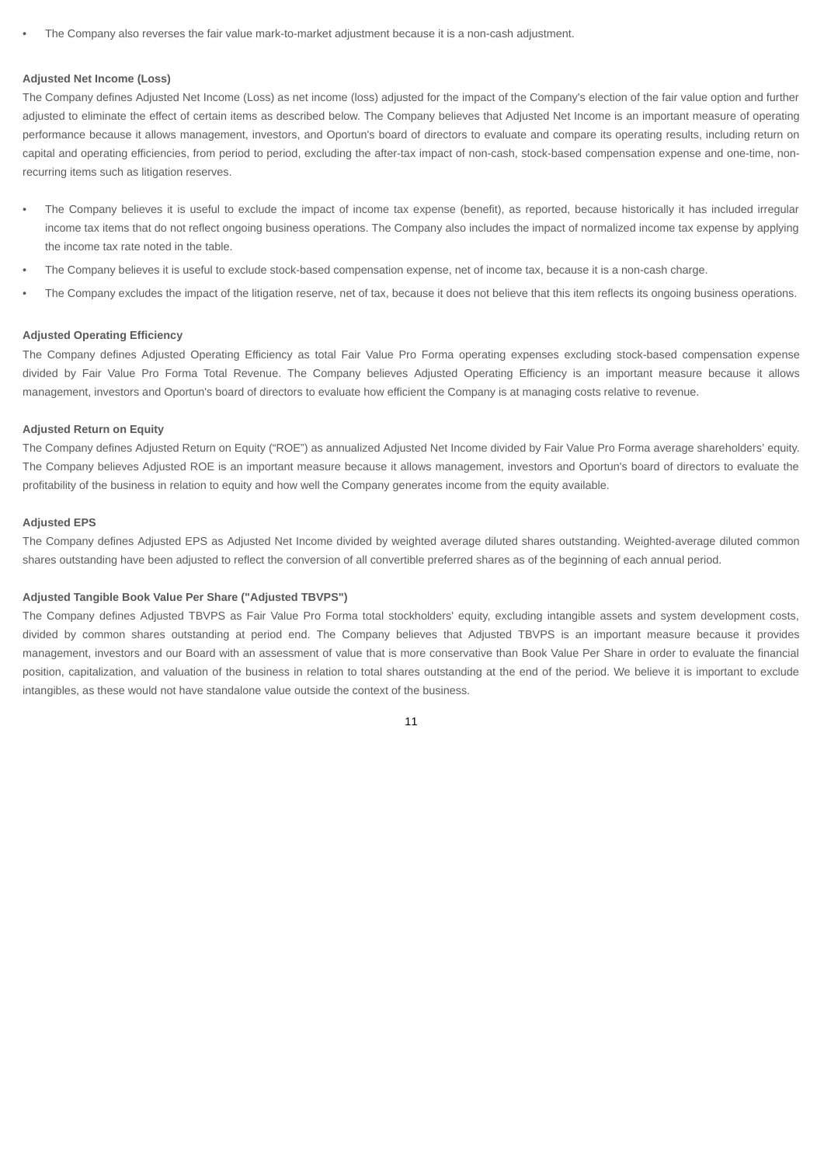• The Company also reverses the fair value mark-to-market adjustment because it is a non-cash adjustment.

#### **Adjusted Net Income (Loss)**

The Company defines Adjusted Net Income (Loss) as net income (loss) adjusted for the impact of the Company's election of the fair value option and further adjusted to eliminate the effect of certain items as described below. The Company believes that Adjusted Net Income is an important measure of operating performance because it allows management, investors, and Oportun's board of directors to evaluate and compare its operating results, including return on capital and operating efficiencies, from period to period, excluding the after-tax impact of non-cash, stock-based compensation expense and one-time, nonrecurring items such as litigation reserves.

- The Company believes it is useful to exclude the impact of income tax expense (benefit), as reported, because historically it has included irregular income tax items that do not reflect ongoing business operations. The Company also includes the impact of normalized income tax expense by applying the income tax rate noted in the table.
- The Company believes it is useful to exclude stock-based compensation expense, net of income tax, because it is a non-cash charge.
- The Company excludes the impact of the litigation reserve, net of tax, because it does not believe that this item reflects its ongoing business operations.

#### **Adjusted Operating Efficiency**

The Company defines Adjusted Operating Efficiency as total Fair Value Pro Forma operating expenses excluding stock-based compensation expense divided by Fair Value Pro Forma Total Revenue. The Company believes Adjusted Operating Efficiency is an important measure because it allows management, investors and Oportun's board of directors to evaluate how efficient the Company is at managing costs relative to revenue.

#### **Adjusted Return on Equity**

The Company defines Adjusted Return on Equity ("ROE") as annualized Adjusted Net Income divided by Fair Value Pro Forma average shareholders' equity. The Company believes Adjusted ROE is an important measure because it allows management, investors and Oportun's board of directors to evaluate the profitability of the business in relation to equity and how well the Company generates income from the equity available.

#### **Adjusted EPS**

The Company defines Adjusted EPS as Adjusted Net Income divided by weighted average diluted shares outstanding. Weighted-average diluted common shares outstanding have been adjusted to reflect the conversion of all convertible preferred shares as of the beginning of each annual period.

#### **Adjusted Tangible Book Value Per Share ("Adjusted TBVPS")**

The Company defines Adjusted TBVPS as Fair Value Pro Forma total stockholders' equity, excluding intangible assets and system development costs, divided by common shares outstanding at period end. The Company believes that Adjusted TBVPS is an important measure because it provides management, investors and our Board with an assessment of value that is more conservative than Book Value Per Share in order to evaluate the financial position, capitalization, and valuation of the business in relation to total shares outstanding at the end of the period. We believe it is important to exclude intangibles, as these would not have standalone value outside the context of the business.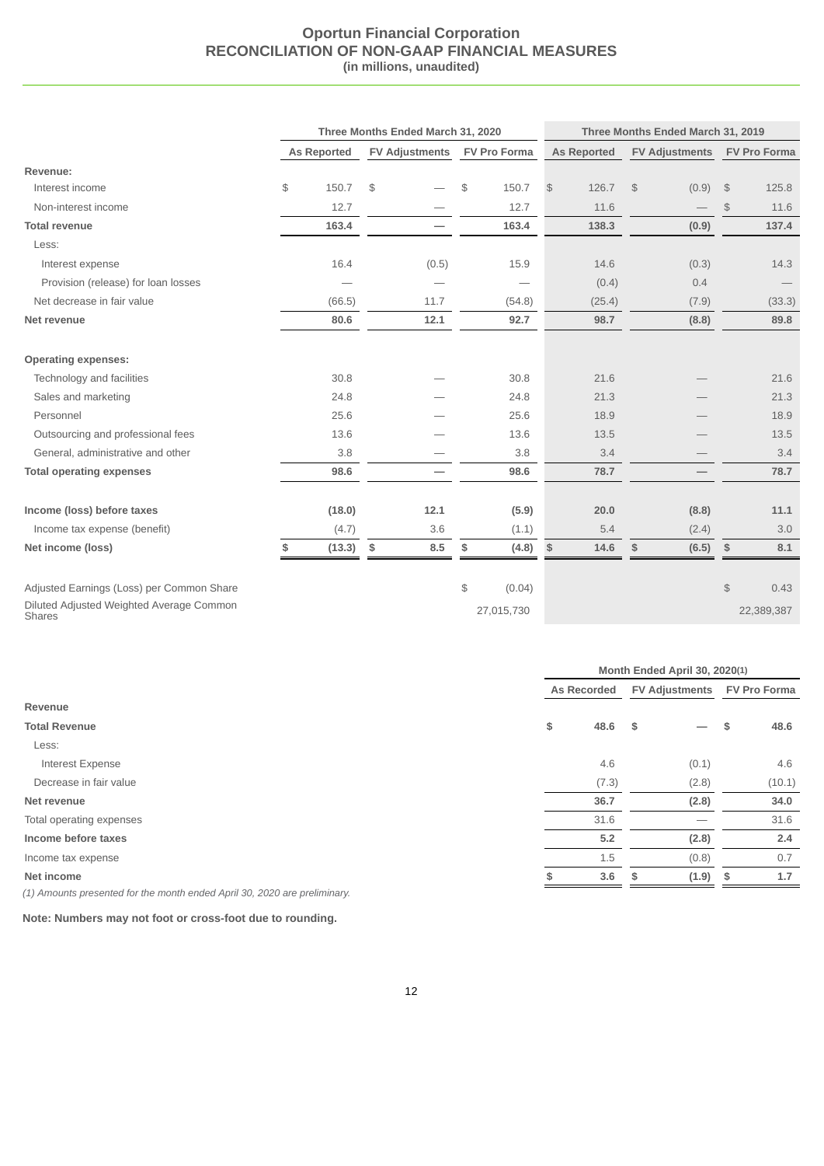### **Oportun Financial Corporation RECONCILIATION OF NON-GAAP FINANCIAL MEASURES (in millions, unaudited)**

|                                                    | Three Months Ended March 31, 2020 |                    |                |                       |    |                     | Three Months Ended March 31, 2019 |                    |               |       |               |                       |  |                     |  |
|----------------------------------------------------|-----------------------------------|--------------------|----------------|-----------------------|----|---------------------|-----------------------------------|--------------------|---------------|-------|---------------|-----------------------|--|---------------------|--|
|                                                    |                                   | <b>As Reported</b> |                | <b>FV Adjustments</b> |    | <b>FV Pro Forma</b> |                                   | <b>As Reported</b> |               |       |               | <b>FV Adjustments</b> |  | <b>FV Pro Forma</b> |  |
| Revenue:                                           |                                   |                    |                |                       |    |                     |                                   |                    |               |       |               |                       |  |                     |  |
| Interest income                                    | \$                                | 150.7              | $\mathfrak{P}$ |                       | \$ | 150.7               | $\frac{1}{2}$                     | 126.7              | $\frac{1}{2}$ | (0.9) | $\frac{1}{2}$ | 125.8                 |  |                     |  |
| Non-interest income                                |                                   | 12.7               |                |                       |    | 12.7                |                                   | 11.6               |               |       | $\frac{1}{2}$ | 11.6                  |  |                     |  |
| <b>Total revenue</b>                               |                                   | 163.4              |                |                       |    | 163.4               |                                   | 138.3              |               | (0.9) |               | 137.4                 |  |                     |  |
| Less:                                              |                                   |                    |                |                       |    |                     |                                   |                    |               |       |               |                       |  |                     |  |
| Interest expense                                   |                                   | 16.4               |                | (0.5)                 |    | 15.9                |                                   | 14.6               |               | (0.3) |               | 14.3                  |  |                     |  |
| Provision (release) for loan losses                |                                   |                    |                |                       |    |                     |                                   | (0.4)              |               | 0.4   |               |                       |  |                     |  |
| Net decrease in fair value                         |                                   | (66.5)             |                | 11.7                  |    | (54.8)              |                                   | (25.4)             |               | (7.9) |               | (33.3)                |  |                     |  |
| Net revenue                                        |                                   | 80.6               |                | 12.1                  |    | 92.7                |                                   | 98.7               |               | (8.8) |               | 89.8                  |  |                     |  |
| <b>Operating expenses:</b>                         |                                   |                    |                |                       |    |                     |                                   |                    |               |       |               |                       |  |                     |  |
| Technology and facilities                          |                                   | 30.8               |                |                       |    | 30.8                |                                   | 21.6               |               |       |               | 21.6                  |  |                     |  |
| Sales and marketing                                |                                   | 24.8               |                |                       |    | 24.8                |                                   | 21.3               |               |       |               | 21.3                  |  |                     |  |
| Personnel                                          |                                   | 25.6               |                |                       |    | 25.6                |                                   | 18.9               |               |       |               | 18.9                  |  |                     |  |
| Outsourcing and professional fees                  |                                   | 13.6               |                |                       |    | 13.6                |                                   | 13.5               |               |       |               | 13.5                  |  |                     |  |
| General, administrative and other                  |                                   | 3.8                |                |                       |    | 3.8                 |                                   | 3.4                |               |       |               | 3.4                   |  |                     |  |
| <b>Total operating expenses</b>                    |                                   | 98.6               |                |                       |    | 98.6                |                                   | 78.7               |               |       |               | 78.7                  |  |                     |  |
| Income (loss) before taxes                         |                                   | (18.0)             |                | 12.1                  |    | (5.9)               |                                   | 20.0               |               | (8.8) |               | 11.1                  |  |                     |  |
| Income tax expense (benefit)                       |                                   | (4.7)              |                | 3.6                   |    | (1.1)               |                                   | 5.4                |               | (2.4) |               | 3.0                   |  |                     |  |
| Net income (loss)                                  | \$                                | (13.3)             | \$             | 8.5                   | \$ | (4.8)               | $\mathfrak{s}$                    | 14.6               | \$            | (6.5) | \$            | 8.1                   |  |                     |  |
|                                                    |                                   |                    |                |                       |    |                     |                                   |                    |               |       |               |                       |  |                     |  |
| Adjusted Earnings (Loss) per Common Share          |                                   |                    |                |                       | \$ | (0.04)              |                                   |                    |               |       | $\frac{1}{2}$ | 0.43                  |  |                     |  |
| Diluted Adjusted Weighted Average Common<br>Shares |                                   |                    |                |                       |    | 27,015,730          |                                   |                    |               |       |               | 22,389,387            |  |                     |  |

|                                                                           | Month Ended April 30, 2020(1) |      |                          |    |                     |  |  |  |  |  |
|---------------------------------------------------------------------------|-------------------------------|------|--------------------------|----|---------------------|--|--|--|--|--|
|                                                                           | As Recorded                   |      | <b>FV Adjustments</b>    |    | <b>FV Pro Forma</b> |  |  |  |  |  |
| Revenue                                                                   |                               |      |                          |    |                     |  |  |  |  |  |
| <b>Total Revenue</b>                                                      | \$<br>48.6                    | - \$ | $\overline{\phantom{m}}$ | \$ | 48.6                |  |  |  |  |  |
| Less:                                                                     |                               |      |                          |    |                     |  |  |  |  |  |
| <b>Interest Expense</b>                                                   | 4.6                           |      | (0.1)                    |    | 4.6                 |  |  |  |  |  |
| Decrease in fair value                                                    | (7.3)                         |      | (2.8)                    |    | (10.1)              |  |  |  |  |  |
| Net revenue                                                               | 36.7                          |      | (2.8)                    |    | 34.0                |  |  |  |  |  |
| Total operating expenses                                                  | 31.6                          |      |                          |    | 31.6                |  |  |  |  |  |
| Income before taxes                                                       | 5.2                           |      | (2.8)                    |    | 2.4                 |  |  |  |  |  |
| Income tax expense                                                        | 1.5                           |      | (0.8)                    |    | 0.7                 |  |  |  |  |  |
| Net income                                                                | 3.6                           |      | (1.9)                    | \$ | 1.7                 |  |  |  |  |  |
| (1) Amounts presented for the month ended April 30, 2020 are preliminary. |                               |      |                          |    |                     |  |  |  |  |  |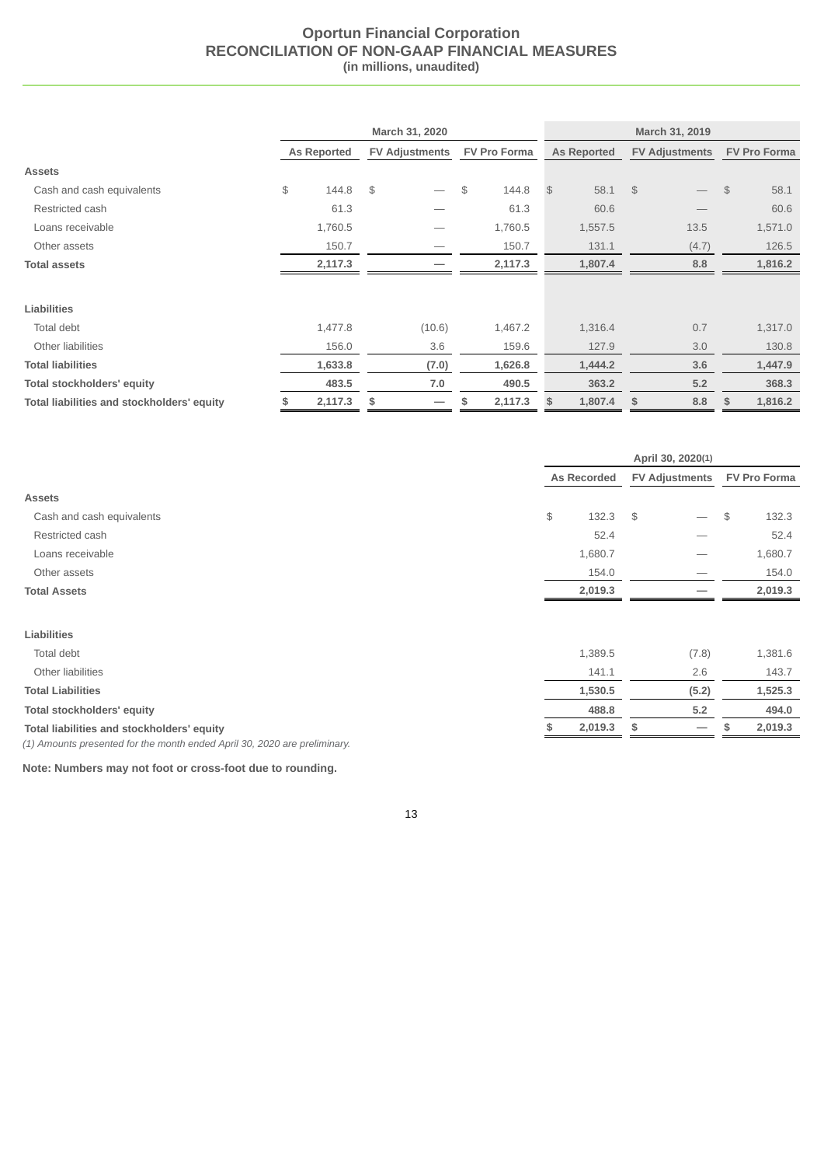### **Oportun Financial Corporation RECONCILIATION OF NON-GAAP FINANCIAL MEASURES (in millions, unaudited)**

|                                            |                    | March 31, 2020 |    |                       |    |                     | March 31, 2019 |                    |    |                       |                |                     |  |
|--------------------------------------------|--------------------|----------------|----|-----------------------|----|---------------------|----------------|--------------------|----|-----------------------|----------------|---------------------|--|
|                                            | <b>As Reported</b> |                |    | <b>FV Adjustments</b> |    | <b>FV Pro Forma</b> |                | <b>As Reported</b> |    | <b>FV Adjustments</b> |                | <b>FV Pro Forma</b> |  |
| <b>Assets</b>                              |                    |                |    |                       |    |                     |                |                    |    |                       |                |                     |  |
| Cash and cash equivalents                  | \$                 | 144.8          | \$ |                       | \$ | 144.8               | $\mathcal{F}$  | 58.1               | \$ |                       | $\mathfrak{F}$ | 58.1                |  |
| Restricted cash                            |                    | 61.3           |    |                       |    | 61.3                |                | 60.6               |    |                       |                | 60.6                |  |
| Loans receivable                           |                    | 1,760.5        |    |                       |    | 1,760.5             |                | 1,557.5            |    | 13.5                  |                | 1,571.0             |  |
| Other assets                               |                    | 150.7          |    |                       |    | 150.7               |                | 131.1              |    | (4.7)                 |                | 126.5               |  |
| <b>Total assets</b>                        |                    | 2,117.3        |    |                       |    | 2,117.3             |                | 1,807.4            |    | 8.8                   |                | 1,816.2             |  |
|                                            |                    |                |    |                       |    |                     |                |                    |    |                       |                |                     |  |
| <b>Liabilities</b>                         |                    |                |    |                       |    |                     |                |                    |    |                       |                |                     |  |
| Total debt                                 |                    | 1,477.8        |    | (10.6)                |    | 1,467.2             |                | 1,316.4            |    | 0.7                   |                | 1,317.0             |  |
| Other liabilities                          |                    | 156.0          |    | 3.6                   |    | 159.6               |                | 127.9              |    | 3.0                   |                | 130.8               |  |
| <b>Total liabilities</b>                   |                    | 1,633.8        |    | (7.0)                 |    | 1,626.8             |                | 1,444.2            |    | 3.6                   |                | 1,447.9             |  |
| Total stockholders' equity                 |                    | 483.5          |    | 7.0                   |    | 490.5               |                | 363.2              |    | 5.2                   |                | 368.3               |  |
| Total liabilities and stockholders' equity | \$                 | 2,117.3        | \$ |                       | \$ | 2,117.3             | S              | 1,807.4            | \$ | 8.8                   | \$             | 1,816.2             |  |

|                                                                           |               | April 30, 2020(1)  |                       |                     |  |  |  |
|---------------------------------------------------------------------------|---------------|--------------------|-----------------------|---------------------|--|--|--|
|                                                                           |               | <b>As Recorded</b> | <b>FV Adjustments</b> | <b>FV Pro Forma</b> |  |  |  |
| <b>Assets</b>                                                             |               |                    |                       |                     |  |  |  |
| Cash and cash equivalents                                                 | $\frac{1}{2}$ | 132.3              | \$                    | \$<br>132.3         |  |  |  |
| Restricted cash                                                           |               | 52.4               |                       | 52.4                |  |  |  |
| Loans receivable                                                          |               | 1,680.7            |                       | 1,680.7             |  |  |  |
| Other assets                                                              |               | 154.0              |                       | 154.0               |  |  |  |
| <b>Total Assets</b>                                                       |               | 2,019.3            |                       | 2,019.3             |  |  |  |
|                                                                           |               |                    |                       |                     |  |  |  |
| <b>Liabilities</b>                                                        |               |                    |                       |                     |  |  |  |
| Total debt                                                                |               | 1,389.5            | (7.8)                 | 1,381.6             |  |  |  |
| Other liabilities                                                         |               | 141.1              | 2.6                   | 143.7               |  |  |  |
| <b>Total Liabilities</b>                                                  |               | 1,530.5            | (5.2)                 | 1,525.3             |  |  |  |
| Total stockholders' equity                                                |               | 488.8              | 5.2                   | 494.0               |  |  |  |
| Total liabilities and stockholders' equity                                |               | 2,019.3            | \$                    | 2,019.3             |  |  |  |
| (1) Amounts presented for the month ended April 30, 2020 are preliminary. |               |                    |                       |                     |  |  |  |

**Note: Numbers may not foot or cross-foot due to rounding.**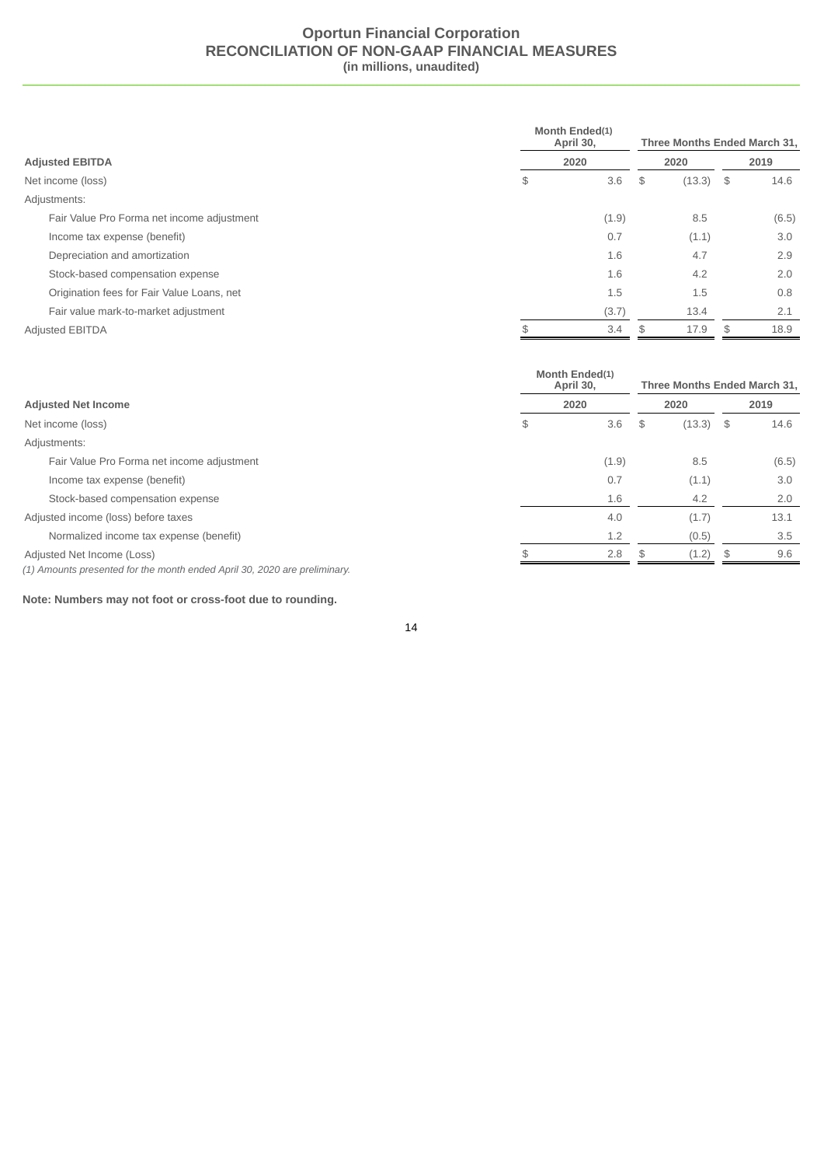### **Oportun Financial Corporation RECONCILIATION OF NON-GAAP FINANCIAL MEASURES (in millions, unaudited)**

|                                            | Month Ended(1)<br>April 30, |       | Three Months Ended March 31, |        |      |       |  |  |
|--------------------------------------------|-----------------------------|-------|------------------------------|--------|------|-------|--|--|
| <b>Adjusted EBITDA</b>                     | 2020                        |       |                              | 2020   |      | 2019  |  |  |
| Net income (loss)                          | \$                          | 3.6   | \$                           | (13.3) | - \$ | 14.6  |  |  |
| Adjustments:                               |                             |       |                              |        |      |       |  |  |
| Fair Value Pro Forma net income adjustment |                             | (1.9) |                              | 8.5    |      | (6.5) |  |  |
| Income tax expense (benefit)               |                             | 0.7   |                              | (1.1)  |      | 3.0   |  |  |
| Depreciation and amortization              |                             | 1.6   |                              | 4.7    |      | 2.9   |  |  |
| Stock-based compensation expense           |                             | 1.6   |                              | 4.2    |      | 2.0   |  |  |
| Origination fees for Fair Value Loans, net |                             | 1.5   |                              | 1.5    |      | 0.8   |  |  |
| Fair value mark-to-market adjustment       |                             | (3.7) |                              | 13.4   |      | 2.1   |  |  |
| <b>Adjusted EBITDA</b>                     | \$                          | 3.4   | \$                           | 17.9   | \$   | 18.9  |  |  |

|                                            | Month Ended(1)<br>April 30, | Three Months Ended March 31, |               |             |      |       |
|--------------------------------------------|-----------------------------|------------------------------|---------------|-------------|------|-------|
| <b>Adjusted Net Income</b>                 | 2020                        |                              |               | 2020        | 2019 |       |
| Net income (loss)                          | \$                          | 3.6                          | \$            | $(13.3)$ \$ |      | 14.6  |
| Adjustments:                               |                             |                              |               |             |      |       |
| Fair Value Pro Forma net income adjustment |                             | (1.9)                        |               | 8.5         |      | (6.5) |
| Income tax expense (benefit)               |                             | 0.7                          |               | (1.1)       |      | 3.0   |
| Stock-based compensation expense           |                             | $1.6\,$                      |               | 4.2         |      | 2.0   |
| Adjusted income (loss) before taxes        |                             | 4.0                          |               | (1.7)       |      | 13.1  |
| Normalized income tax expense (benefit)    |                             | 1.2                          |               | (0.5)       |      | 3.5   |
| Adjusted Net Income (Loss)                 |                             | 2.8                          | $\mathcal{F}$ | (1.2)       | - S  | 9.6   |
| .                                          |                             |                              |               |             |      |       |

*(1) Amounts presented for the month ended April 30, 2020 are preliminary.*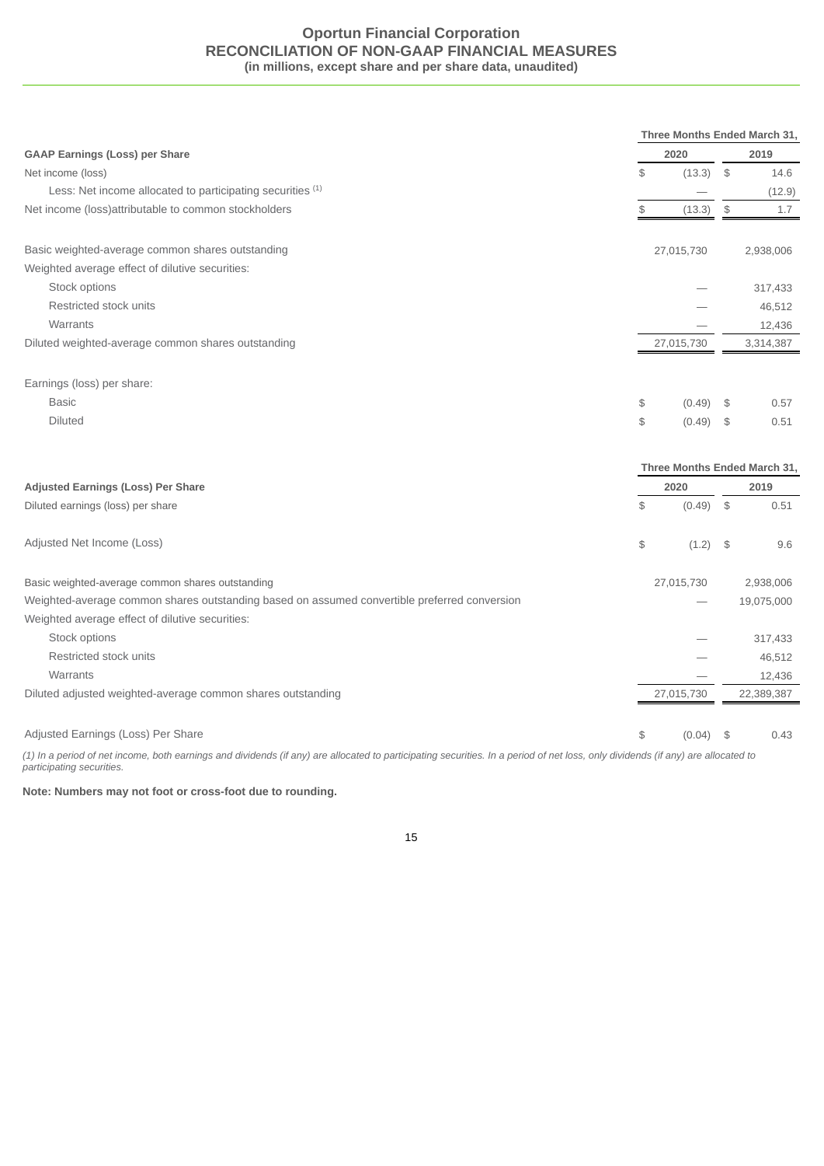### **Oportun Financial Corporation RECONCILIATION OF NON-GAAP FINANCIAL MEASURES (in millions, except share and per share data, unaudited)**

|                                                                                              | Three Months Ended March 31, |            |                  |            |  |
|----------------------------------------------------------------------------------------------|------------------------------|------------|------------------|------------|--|
| <b>GAAP Earnings (Loss) per Share</b>                                                        |                              | 2020       | 2019             |            |  |
| Net income (loss)                                                                            | \$                           | (13.3)     | $\mathfrak{F}$   | 14.6       |  |
| Less: Net income allocated to participating securities (1)                                   |                              |            |                  | (12.9)     |  |
| Net income (loss) attributable to common stockholders                                        | \$                           | (13.3)     | $$\mathfrak{S}$$ | 1.7        |  |
| Basic weighted-average common shares outstanding                                             |                              | 27,015,730 |                  | 2,938,006  |  |
| Weighted average effect of dilutive securities:                                              |                              |            |                  |            |  |
| Stock options                                                                                |                              |            |                  | 317,433    |  |
| Restricted stock units                                                                       |                              |            |                  | 46,512     |  |
| Warrants                                                                                     |                              |            |                  | 12,436     |  |
| Diluted weighted-average common shares outstanding                                           |                              | 27,015,730 |                  | 3,314,387  |  |
| Earnings (loss) per share:                                                                   |                              |            |                  |            |  |
| <b>Basic</b>                                                                                 | \$                           | (0.49)     | $\frac{1}{2}$    | 0.57       |  |
| <b>Diluted</b>                                                                               | \$                           | (0.49)     | $\mathfrak{F}$   | 0.51       |  |
|                                                                                              |                              |            |                  |            |  |
|                                                                                              | Three Months Ended March 31, |            |                  |            |  |
| <b>Adjusted Earnings (Loss) Per Share</b>                                                    |                              | 2020       |                  | 2019       |  |
| Diluted earnings (loss) per share                                                            | \$                           | (0.49)     | $\frac{1}{2}$    | 0.51       |  |
| Adjusted Net Income (Loss)                                                                   | \$                           | (1.2)      | $\frac{1}{2}$    | 9.6        |  |
| Basic weighted-average common shares outstanding                                             |                              | 27,015,730 |                  | 2,938,006  |  |
| Weighted-average common shares outstanding based on assumed convertible preferred conversion |                              |            |                  | 19,075,000 |  |
| Weighted average effect of dilutive securities:                                              |                              |            |                  |            |  |
| Stock options                                                                                |                              |            |                  | 317,433    |  |
| Restricted stock units                                                                       |                              |            |                  | 46,512     |  |
| Warrants                                                                                     |                              |            |                  | 12,436     |  |
| Diluted adjusted weighted-average common shares outstanding                                  |                              | 27,015,730 |                  | 22,389,387 |  |
| Adjusted Earnings (Loss) Per Share                                                           | \$                           | (0.04)     | \$               | 0.43       |  |

(1) In a period of net income, both earnings and dividends (if any) are allocated to participating securities. In a period of net loss, only dividends (if any) are allocated to *participating securities.*

**Note: Numbers may not foot or cross-foot due to rounding.**